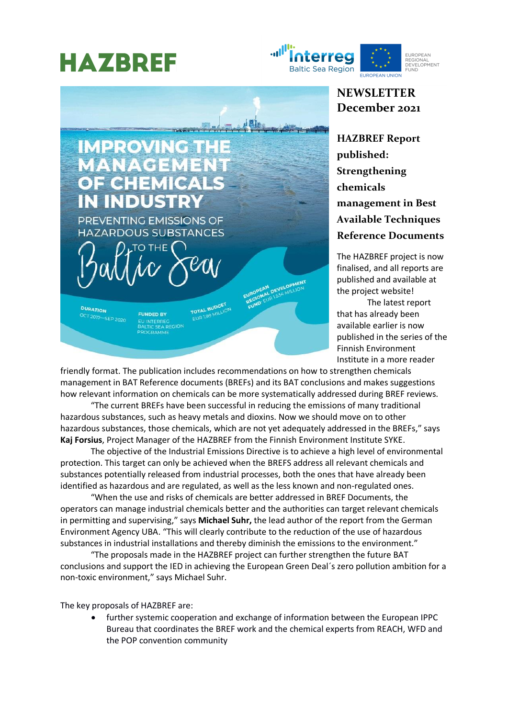## **HAZBREF**

**IMPROVING THE** 

PREVENTING EMISSIONS OF **HAZARDOUS SUBSTANCES** 

**FUNDED BY** 

**EU INTERREC** CEA DEGION

MANAGEME

OE CHEMIC

J INDUS

DURATION

-7 2017-SEP 2020





**HAZBREF Report published: Strengthening chemicals management in Best Available Techniques Reference Documents**

The HAZBREF project is now finalised, and all reports are published and available at the project website!

The latest report that has already been available earlier is now published in the series of the Finnish Environment Institute in a more reader

friendly format. The publication includes recommendations on how to strengthen chemicals management in BAT Reference documents (BREFs) and its BAT conclusions and makes suggestions how relevant information on chemicals can be more systematically addressed during BREF reviews.

TOTAL BUDGET

N DEVE

山胆山

"The current BREFs have been successful in reducing the emissions of many traditional hazardous substances, such as heavy metals and dioxins. Now we should move on to other hazardous substances, those chemicals, which are not yet adequately addressed in the BREFs," says **Kaj Forsius**, Project Manager of the HAZBREF from the Finnish Environment Institute SYKE.

The objective of the Industrial Emissions Directive is to achieve a high level of environmental protection. This target can only be achieved when the BREFS address all relevant chemicals and substances potentially released from industrial processes, both the ones that have already been identified as hazardous and are regulated, as well as the less known and non-regulated ones.

"When the use and risks of chemicals are better addressed in BREF Documents, the operators can manage industrial chemicals better and the authorities can target relevant chemicals in permitting and supervising," says **Michael Suhr,** the lead author of the report from the German Environment Agency UBA. "This will clearly contribute to the reduction of the use of hazardous substances in industrial installations and thereby diminish the emissions to the environment."

"The proposals made in the HAZBREF project can further strengthen the future BAT conclusions and support the IED in achieving the European Green Deal´s zero pollution ambition for a non-toxic environment," says Michael Suhr.

The key proposals of HAZBREF are:

• further systemic cooperation and exchange of information between the European IPPC Bureau that coordinates the BREF work and the chemical experts from REACH, WFD and the POP convention community